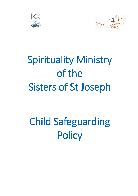



## Spirituality Ministry of the Sisters of St Joseph

# Child Safeguarding **Policy**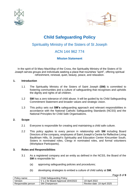



## **Child Safeguarding Policy**

### Spirituality Ministry of the Sisters of St Joseph

### ACN 144 962 774

#### **Mission Statement**

In the spirit of St Mary MacKillop of the Cross, the Spirituality Ministry of the Sisters of St Joseph serves groups and individuals seeking a place that nourishes "spirit", offering spiritual refreshment, renewal, quiet, beauty, peace, and relaxation.

#### **1. Introduction**

- 1.1 The Spirituality Ministry of the Sisters of Saint Joseph **(SM)** is committed to fostering communities and a culture of safeguarding that recognises and upholds the dignity and rights of all children.
- 1.2 **SM** has a zero tolerance of child abuse. It will be guided by its Child Safeguarding Commitment Statement and broader values and strategic vision.
- 1.3 This policy sets out **SM's** safeguarding approach and relevant responsibilities in accordance with the National Catholic Safeguarding Standards (NCSS) and the National Principles for Child Safe Organisations.

#### **2. Scope**

- 2.1 Everyone is responsible for creating and maintaining a child safe culture.
- 2.2 This policy applies to every person in relationship with **SM** including Board Directors of the company, employees of Saint Joseph's Centre for Reflective Living Baulkham Hills, St Joseph's Spirituality and Education Centre Kincumber South, Sisters in nominated roles, Clergy in nominated roles, and formal volunteers (Workplace Participants).

#### **3. Roles and Responsibilities**

- 3.1 As a registered company and an entity as defined in the NCSS, the Board of the **SM** is responsible for:
	- (a) approving safeguarding policies and procedures;
	- (b) developing strategies to embed a culture of child safety at **SM**;

Page **2** of **9**

| Policy name:       | Child Safeguarding Policy                 |                            |
|--------------------|-------------------------------------------|----------------------------|
| Version            | $\sqrt{1.1}$ for Board Approval 19/4/2022 | 19 April 2022              |
| Responsible person | <b>SM Chairperson</b>                     | Review date: 19 April 2025 |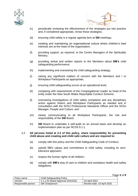



- (c) periodically reviewing the effectiveness of the strategies put into practice and, if considered appropriate, revise those strategies;
- (d) ensuring child safety is a regular agenda item at **SM** meetings;
- (e) creating and maintaining an organisational culture where children's best interests are at the heart of the organisation;
- (f) providing support, as required, to the Centre Managers of the Spirituality Ministry;
- (g) providing verbal and written reports to the Members about **SM's** child safeguarding performance;
- (h) implementing and overseeing the child safeguarding strategy;
- (i) raising any significant matters of concern with the Members and / or Workplace Participants as appropriate;
- (j) ensuring child safeguarding occurs at an operational level;
- (k) complying with requirements of the Congregational Leader as head of the entity under the New South Wales Reportable Conduct Scheme;
- (l) overseeing investigations of child safety complaints and any disciplinary action against Sisters and Workplace Participants as needed and in consultation with the SOSJ Professional Standards Officer and the SOSJ Manager, People and Culture, and
- (m) clearly communicating to all Workplace Participants, the role and responsibility of the **SM** Board.
- (n) **SM** Board to undertake a self-audit on an annual basis and develop an implementation plan as per NCSS 9.1.1.
- 3.2 **All persons listed at 2.2 of this policy, share responsibility for preventing child abuse and creating and child safe culture and are required to:** 
	- (a) comply with this policy and the Child Safeguarding Code of Conduct;
	- (b) uphold SM's values and commitment to child safety, including its zerotolerance approach;
	- (c) respect the human rights of all children;
	- (d) comply with **SM's** duty of care to children and workplace health and safety obligations;

Page **3** of **9**

| Policy name:       | Child Safeguarding Policy                 |                            |
|--------------------|-------------------------------------------|----------------------------|
| Version            | $\sqrt{1.1}$ for Board Approval 19/4/2022 | 19 April 2022              |
| Responsible person | <b>SM Chairperson</b>                     | Review date: 19 April 2025 |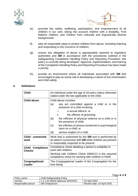



- (e) promote the safety, wellbeing, participation, and empowerment of all children in our care, taking into account children with a disability, First Nations children, and children from culturally and linguistically diverse backgrounds;
- (f) take all reasonable steps to protect children from abuse, including listening and responding to the concerns of children;
- (g) ensure any allegation of abuse is appropriately reported to regulatory authorities and **SM** in accordance with the procedures outlined in the Safeguarding Complaints Handling Policy and Reporting Procedure; this policy is currently being developed. Approval, implementation, and training of the Complaints Handling Policy and Reporting Procedure has been made a priority.
- (h) provide an environment where all individuals associated with **SM** feel encouraged to play an active role in developing a culture of risk minimisation and child safety.

#### **4. Definitions**

| <b>Child</b>                             | An individual under the age of 18 years unless otherwise<br>stated under the law applicable to the child.                                                          |  |
|------------------------------------------|--------------------------------------------------------------------------------------------------------------------------------------------------------------------|--|
| <b>Child abuse</b>                       | Child abuse includes:                                                                                                                                              |  |
|                                          | (a)<br>any act committed against a child or in the<br>presence of a child involving:                                                                               |  |
|                                          | i.<br>a sexual offence; or                                                                                                                                         |  |
|                                          | ii. L<br>the offence of grooming;                                                                                                                                  |  |
|                                          | the infliction of physical violence on a child or in<br>(b)<br>the presence of child;                                                                              |  |
|                                          | (c)<br>the infliction of serious emotional or psychological<br>harm on a child; or                                                                                 |  |
|                                          | (d)<br>serious neglect of a child.                                                                                                                                 |  |
| <b>Child - connected</b><br>work         | Work that is authorised by the <b>SM</b> and is performed by<br>an adult in connection with SM while children are present<br>or reasonably expected to be present. |  |
| <b>Child Compliance</b><br><b>Checks</b> | Compliance check detailing a person's suitability to<br>work with children.                                                                                        |  |
|                                          | Working with Children Check (WWCC) is the required<br>compliance check for working with children in NSW.                                                           |  |
| Congregational<br>Leader                 | The Congregational Leader of the Congregation for the<br>time being                                                                                                |  |

| Policy name:       | <b>Child Safeguarding Policy</b>   |                            |
|--------------------|------------------------------------|----------------------------|
| Version            | V 1.1 for Board Approval 19/4/2022 | 19 April 2022              |
| Responsible person | <b>SM Chairperson</b>              | Review date: 19 April 2025 |

Page **4** of **9**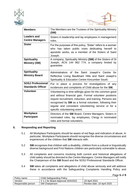



| <b>Members</b>                                       | The Members are the Trustees of the Spirituality Ministry<br>(SM)                                                                                                                                                                                                                                                                  |  |
|------------------------------------------------------|------------------------------------------------------------------------------------------------------------------------------------------------------------------------------------------------------------------------------------------------------------------------------------------------------------------------------------|--|
| <b>Leaders and</b><br><b>Centre Managers</b>         | Sisters in leadership and lay employees in management<br>roles.                                                                                                                                                                                                                                                                    |  |
| <b>Sister</b>                                        | For the purposes of this policy, 'Sister' refers to a woman<br>who has taken public vows dedicating herself to<br>apostolic works, as a member of the Sisters of Saint<br>Joseph.                                                                                                                                                  |  |
| <b>Spirituality</b><br><b>Ministry (SM)</b>          | A company, Spirituality Ministry (SM) of the Sisters of St<br>Joseph, ACN 144 962 774, a company limited by<br>guarantee.                                                                                                                                                                                                          |  |
| <b>Spirituality</b><br><b>Ministry Board</b>         | Administrators of the Saint Joseph's Centre<br>for<br>Reflective Living Baulkham Hills and Saint Joseph's<br>Spirituality & Education Centre Kincumber South.                                                                                                                                                                      |  |
| <b>SOSJ Professional</b><br><b>Standards Officer</b> | Put in place a process for investigations of any<br>incidences and complaints of Child abuse for the SM.                                                                                                                                                                                                                           |  |
| <b>Volunteer</b>                                     | Volunteering is time willingly given for the common good<br>and without financial gain. Formal volunteer positions<br>require recruitment, induction, and training. Persons are<br>recognised by SM as a formal volunteer, following their<br>regular and consistent volunteering service or for a<br>specific volunteering event. |  |
| Workplace<br><b>Participant</b>                      | Directors of the <b>SM</b> Board, Centre Managers, Sisters in<br>nominated roles, lay employees, Clergy in nominated<br>roles and formal volunteers.                                                                                                                                                                               |  |

#### **5. Responding and Reporting**

- 5.1 All Workplace Participants should be aware of red flags and indicators of abuse. In particular, Workplace Participants should recognise the diverse circumstances and experiences of the children that **SM** interacts with.
- 5.2 **SM** recognises that children with a disability, children from a cultural or linguistically diverse background and First Nations children are particularly vulnerable to abuse.
- 5.3 All complaints and concerns involving both current and historical allegations of child safety should be directed to the Centre Managers. Centre Managers will notify the Chairperson of the **SM** Board and the SOSJ Professional Standards Officer.
- 5.4 **SM** takes all complaints and allegations of child abuse seriously and will address these in accordance with the Safeguarding Complaints Handling Policy and

Page **5** of **9**

| Policy name:       | <b>Child Safeguarding Policy</b>   |                            |
|--------------------|------------------------------------|----------------------------|
| Version            | V 1.1 for Board Approval 19/4/2022 | 19 April 2022              |
| Responsible person | <b>SM Chairperson</b>              | Review date: 19 April 2025 |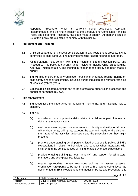



Reporting Procedure, which is currently being developed. Approval, implementation, and training in relation to the Safeguarding Complaints Handling Policy and Reporting Procedure, has been made a priority. All persons listed at 2.2 of this policy are expected to comply with this policy.

#### **6. Recruitment and Training**

- 6.1 Child safeguarding is a critical consideration in any recruitment process. SM is committed to child safeguarding and implementing its zero-tolerance approach.
- 6.2 All recruitment must comply with **SM's** Recruitment and Induction Policy and Procedure. This policy is currently under review to include Child Safeguarding. Approval, implementation, and training in relation to this policy has been made a priority.
- 6.3 **SM** will also ensure that all Workplace Participants undertake regular training on child safety and their obligations, including during induction and refresher training at least every three years.
- 6.4 **SM** ensure child safeguarding is part of the professional supervision processes and annual performance reviews.

#### **7. Risk Management**

- 7.1 **SM** recognises the importance of identifying, monitoring, and mitigating risk to children.
- 7.2 **SM** will:
	- (a) consider actual and potential risks relating to children as part of its overall risk management strategy;
	- (b) seek to achieve ongoing risk assessment to identify and mitigate risk in all **SM** environments, taking into account the age and needs of the children, the nature of the activities undertaken and the particular risks they might present;
	- (c) promote understanding by all persons listed at 2.2 of this policy, of **SM's** expectations in relation to behaviour and conduct when interacting with children and the consequences of failing to abide by those expectations;
	- (d) provide ongoing training (at least annually) and support for all Sisters, Managers and Workplace Participants;
	- (e) require appropriate human resources policies to assess potential Workplace Participants to be put in place with a safeguarding focus, as documented in **SM's** Recruitment and Induction Policy and Procedure; this

Page **6** of **9**

| Policy name:       | Child Safeguarding Policy          |                            |
|--------------------|------------------------------------|----------------------------|
| Version            | V 1.1 for Board Approval 19/4/2022 | 19 April 2022              |
| Responsible person | <b>SM Chairperson</b>              | Review date: 19 April 2025 |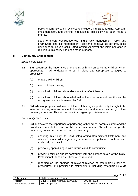



policy is currently being reviewed to include Child Safeguarding. Approval, implementation, and training in relation to this policy has been made a priority.

(f) seek to ensure compliance with **SM's** Risk Management Policy and Framework. The Risk Management Policy and Framework is currently being developed to include Child Safeguarding. Approval and implementation in relation to this policy has been made a priority.

#### **8. Community Engagement**

#### *Empowering children*

- 8.1 **SM** recognises the importance of engaging with and empowering children. When appropriate, it will endeavour to put in place age-appropriate strategies to proactively:
	- (a) engage with children;
	- (b) seek children's views;
	- (c) consult with children about decisions that affect them; and
	- (d) consult with children about what makes them feel safe and how this can be recognised and implemented by **SM**.
- 8.2 **SM,** when appropriate, will inform children of their rights, particularly the right to be safe from abuse, safe and respectful relationships and where they can go if they have any concerns. This will be done in an age-appropriate manner.

#### *Community Partnership*

- 8.3 **SM** appreciates the importance of partnering with families, parents, carers and the broader community to create a child safe environment. **SM** will encourage the community to take an active role in child safety by:
	- (a) ensuring this policy, its Child Safeguarding Commitment Statement and other relevant child safeguarding information, are publicised on its website and easily accessible;
	- (b) promoting open dialogue with families and its community;
	- (c) providing families and its community with the contact details of the SOSJ Professional Standards Officer when required;
	- (d) reporting on the findings of relevant reviews of safeguarding policies, procedures, and practices to stakeholders, including safeguarding audit

Page **7** of **9**

| Policy name:       | Child Safeguarding Policy                 |                            |
|--------------------|-------------------------------------------|----------------------------|
| Version            | $\sqrt{1.1}$ for Board Approval 19/4/2022 | 19 April 2022              |
| Responsible person | <b>SM Chairperson</b>                     | Review date: 19 April 2025 |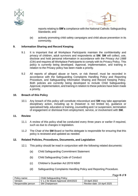



reports relating to **SM's** compliance with the National Catholic Safeguarding Standards; and

(e) actively promoting child safety campaigns and child abuse prevention in its community.

#### **9. Information Sharing and Record Keeping**

- 9.1 It is important that all Workplace Participants maintain the confidentiality and privacy of children, adult survivors and respondents at **SM**. **SM** will collect, use, disclose and hold personal information in accordance with the *Privacy Act 1988* (Cth) and requires all Workplace Participants to comply with its Privacy Policy. This policy is currently being developed. Approval, implementation, and training in relation to the Privacy policy has been made a priority.
- 9.2 All reports of alleged abuse or harm, or risk thereof, must be recorded in accordance with the Safeguarding Complaints Handling Policy and Reporting Procedure, and Safeguarding Information Sharing and Record Keeping Policy. Both policies are currently being developed to include Child Safeguarding. Approval, implementation, and training in relation to these policies have been made a priority.

#### **10. Breach of this Policy**

10.1 Any breach of this policy will constitute misconduct and **SM** may take appropriate disciplinary action, including up to (however is not limited to), guidance or specialised help, education or training, counselling and / or suspension, termination of engagement or dismissal from employment, service, or involvement with **SM**.

#### **11. Review**

- 11.1 A review of this policy shall be conducted every three years or earlier if required, such as due to changes in legislation.
- 11.2 The Chair of the **SM** Board or her/his delegate is responsible for ensuring that this policy is reviewed and updated as needed.

#### **12. Related Policies, Procedures, Documents, and Legislation**

- 12.1 This policy should be read in conjunction with the following related documents:
	- (a) Child Safeguarding Commitment Statement
	- (b) Child Safeguarding Code of Conduct
	- (c) Children's Guardian Act 2019 NSW
	- (d) Safeguarding Complaints Handling Policy and Reporting Procedure.

Page **8** of **9**

| Policy name:       | Child Safeguarding Policy          |                            |
|--------------------|------------------------------------|----------------------------|
| Version            | V 1.1 for Board Approval 19/4/2022 | 19 April 2022              |
| Responsible person | <b>SM Chairperson</b>              | Review date: 19 April 2025 |